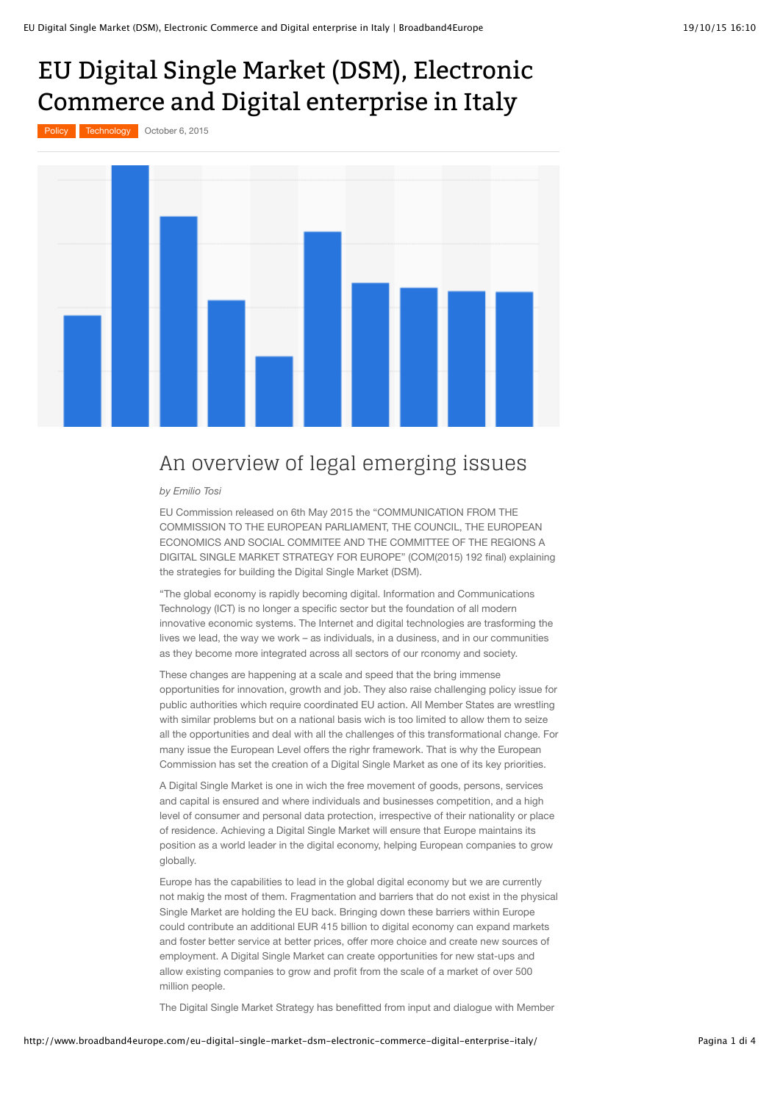## EU Digital Single Market (DSM), Electronic Commerce and Digital enterprise in Italy

[Policy](http://www.broadband4europe.com/category/technology/policy-technology/) **[Technology](http://www.broadband4europe.com/category/technology/)** October 6, 2015



## An overview of legal emerging issues

*by Emilio Tosi*

EU Commission released on 6th May 2015 the "COMMUNICATION FROM THE COMMISSION TO THE EUROPEAN PARLIAMENT, THE COUNCIL, THE EUROPEAN ECONOMICS AND SOCIAL COMMITEE AND THE COMMITTEE OF THE REGIONS A DIGITAL SINGLE MARKET STRATEGY FOR EUROPE" (COM(2015) 192 final) explaining the strategies for building the Digital Single Market (DSM).

"The global economy is rapidly becoming digital. Information and Communications Technology (ICT) is no longer a specific sector but the foundation of all modern innovative economic systems. The Internet and digital technologies are trasforming the lives we lead, the way we work – as individuals, in a dusiness, and in our communities as they become more integrated across all sectors of our rconomy and society.

These changes are happening at a scale and speed that the bring immense opportunities for innovation, growth and job. They also raise challenging policy issue for public authorities which require coordinated EU action. All Member States are wrestling with similar problems but on a national basis wich is too limited to allow them to seize all the opportunities and deal with all the challenges of this transformational change. For many issue the European Level offers the righr framework. That is why the European Commission has set the creation of a Digital Single Market as one of its key priorities.

A Digital Single Market is one in wich the free movement of goods, persons, services and capital is ensured and where individuals and businesses competition, and a high level of consumer and personal data protection, irrespective of their nationality or place of residence. Achieving a Digital Single Market will ensure that Europe maintains its position as a world leader in the digital economy, helping European companies to grow globally.

Europe has the capabilities to lead in the global digital economy but we are currently not makig the most of them. Fragmentation and barriers that do not exist in the physical Single Market are holding the EU back. Bringing down these barriers within Europe could contribute an additional EUR 415 billion to digital economy can expand markets and foster better service at better prices, offer more choice and create new sources of employment. A Digital Single Market can create opportunities for new stat-ups and allow existing companies to grow and profit from the scale of a market of over 500 million people.

The Digital Single Market Strategy has benefitted from input and dialogue with Member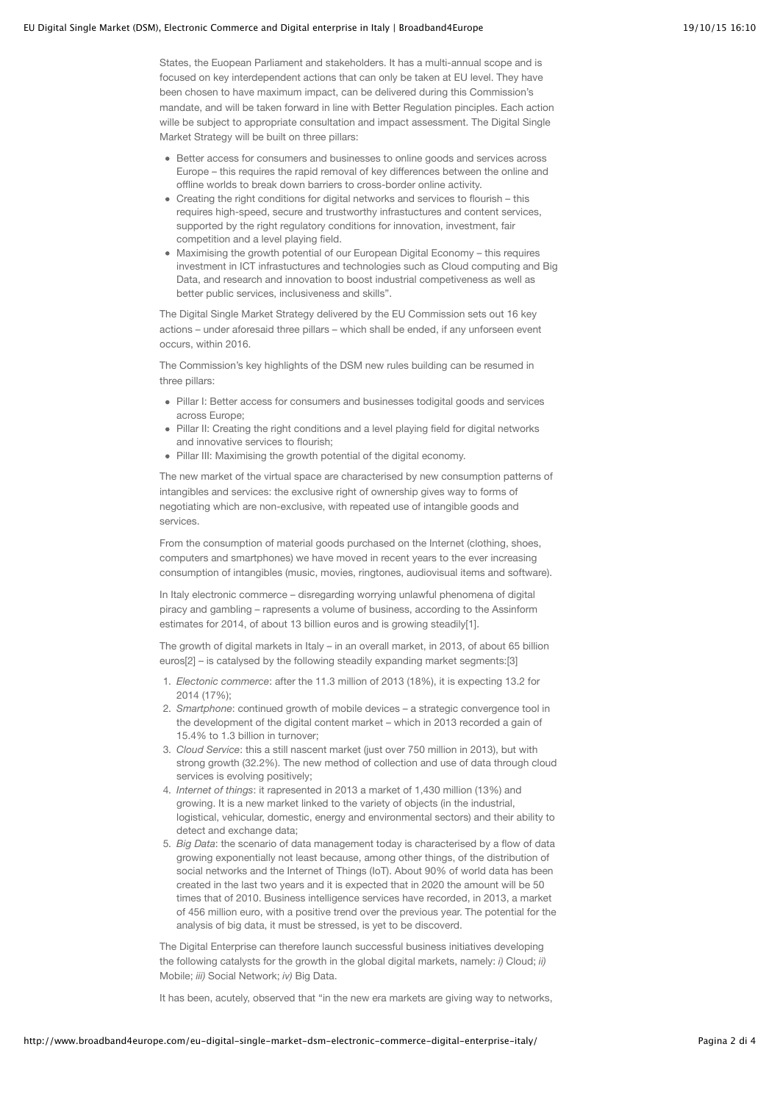## EU Digital Single Market (DSM), Electronic Commerce and Digital enterprise in Italy | Broadband4Europe 19/10/15 16:10

States, the Euopean Parliament and stakeholders. It has a multi-annual scope and is focused on key interdependent actions that can only be taken at EU level. They have been chosen to have maximum impact, can be delivered during this Commission's mandate, and will be taken forward in line with Better Regulation pinciples. Each action wille be subject to appropriate consultation and impact assessment. The Digital Single Market Strategy will be built on three pillars:

- Better access for consumers and businesses to online goods and services across Europe – this requires the rapid removal of key differences between the online and offline worlds to break down barriers to cross-border online activity.
- Creating the right conditions for digital networks and services to flourish this requires high-speed, secure and trustworthy infrastuctures and content services, supported by the right regulatory conditions for innovation, investment, fair competition and a level playing field.
- Maximising the growth potential of our European Digital Economy this requires investment in ICT infrastuctures and technologies such as Cloud computing and Big Data, and research and innovation to boost industrial competiveness as well as better public services, inclusiveness and skills".

The Digital Single Market Strategy delivered by the EU Commission sets out 16 key actions – under aforesaid three pillars – which shall be ended, if any unforseen event occurs, within 2016.

The Commission's key highlights of the DSM new rules building can be resumed in three pillars:

- Pillar I: Better access for consumers and businesses todigital goods and services across Europe;
- Pillar II: Creating the right conditions and a level playing field for digital networks and innovative services to flourish:
- Pillar III: Maximising the growth potential of the digital economy.

The new market of the virtual space are characterised by new consumption patterns of intangibles and services: the exclusive right of ownership gives way to forms of negotiating which are non-exclusive, with repeated use of intangible goods and services.

From the consumption of material goods purchased on the Internet (clothing, shoes, computers and smartphones) we have moved in recent years to the ever increasing consumption of intangibles (music, movies, ringtones, audiovisual items and software).

In Italy electronic commerce – disregarding worrying unlawful phenomena of digital piracy and gambling – rapresents a volume of business, according to the Assinform estimates for 2014, of about 13 billion euros and is growing steadily[1].

The growth of digital markets in Italy – in an overall market, in 2013, of about 65 billion euros[2] – is catalysed by the following steadily expanding market segments:[3]

- 1. *Electonic commerce*: after the 11.3 million of 2013 (18%), it is expecting 13.2 for 2014 (17%);
- 2. *Smartphone*: continued growth of mobile devices a strategic convergence tool in the development of the digital content market – which in 2013 recorded a gain of 15.4% to 1.3 billion in turnover;
- 3. *Cloud Service*: this a still nascent market (just over 750 million in 2013), but with strong growth (32.2%). The new method of collection and use of data through cloud services is evolving positively:
- 4. *Internet of things*: it rapresented in 2013 a market of 1,430 million (13%) and growing. It is a new market linked to the variety of objects (in the industrial, logistical, vehicular, domestic, energy and environmental sectors) and their ability to detect and exchange data;
- 5. *Big Data*: the scenario of data management today is characterised by a flow of data growing exponentially not least because, among other things, of the distribution of social networks and the Internet of Things (IoT). About 90% of world data has been created in the last two years and it is expected that in 2020 the amount will be 50 times that of 2010. Business intelligence services have recorded, in 2013, a market of 456 million euro, with a positive trend over the previous year. The potential for the analysis of big data, it must be stressed, is yet to be discoverd.

The Digital Enterprise can therefore launch successful business initiatives developing the following catalysts for the growth in the global digital markets, namely: *i)* Cloud; *ii)* Mobile; *iii)* Social Network; *iv)* Big Data.

It has been, acutely, observed that "in the new era markets are giving way to networks,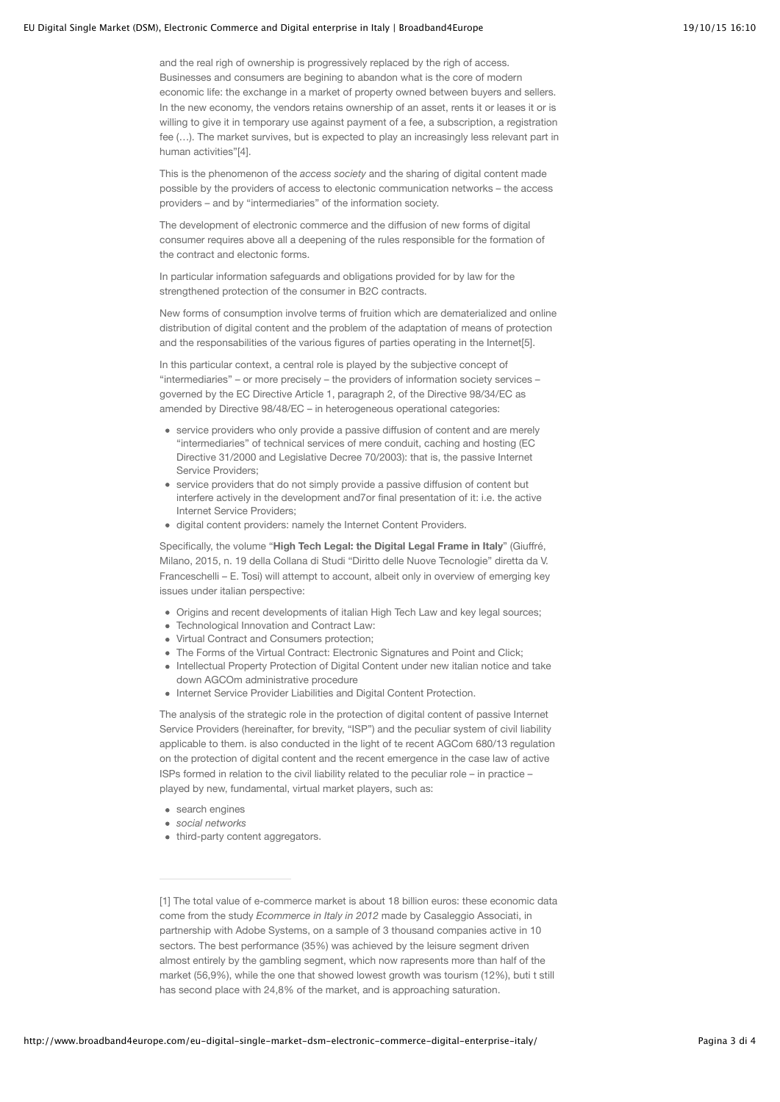## EU Digital Single Market (DSM), Electronic Commerce and Digital enterprise in Italy | Broadband4Europe 19/10/15 16:10

and the real righ of ownership is progressively replaced by the righ of access. Businesses and consumers are begining to abandon what is the core of modern economic life: the exchange in a market of property owned between buyers and sellers. In the new economy, the vendors retains ownership of an asset, rents it or leases it or is willing to give it in temporary use against payment of a fee, a subscription, a registration fee (…). The market survives, but is expected to play an increasingly less relevant part in human activities"[4].

This is the phenomenon of the *access society* and the sharing of digital content made possible by the providers of access to electonic communication networks – the access providers – and by "intermediaries" of the information society.

The development of electronic commerce and the diffusion of new forms of digital consumer requires above all a deepening of the rules responsible for the formation of the contract and electonic forms.

In particular information safeguards and obligations provided for by law for the strengthened protection of the consumer in B2C contracts.

New forms of consumption involve terms of fruition which are dematerialized and online distribution of digital content and the problem of the adaptation of means of protection and the responsabilities of the various figures of parties operating in the Internet[5].

In this particular context, a central role is played by the subjective concept of "intermediaries" – or more precisely – the providers of information society services – governed by the EC Directive Article 1, paragraph 2, of the Directive 98/34/EC as amended by Directive 98/48/EC – in heterogeneous operational categories:

- service providers who only provide a passive diffusion of content and are merely "intermediaries" of technical services of mere conduit, caching and hosting (EC Directive 31/2000 and Legislative Decree 70/2003): that is, the passive Internet Service Providers;
- service providers that do not simply provide a passive diffusion of content but interfere actively in the development and7or final presentation of it: i.e. the active Internet Service Providers;
- digital content providers: namely the Internet Content Providers.

Specifically, the volume "**High Tech Legal: the Digital Legal Frame in Italy**" (Giuffré, Milano, 2015, n. 19 della Collana di Studi "Diritto delle Nuove Tecnologie" diretta da V. Franceschelli – E. Tosi) will attempt to account, albeit only in overview of emerging key issues under italian perspective:

- Origins and recent developments of italian High Tech Law and key legal sources;
- Technological Innovation and Contract Law:
- Virtual Contract and Consumers protection;
- The Forms of the Virtual Contract: Electronic Signatures and Point and Click;
- Intellectual Property Protection of Digital Content under new italian notice and take down AGCOm administrative procedure
- Internet Service Provider Liabilities and Digital Content Protection.

The analysis of the strategic role in the protection of digital content of passive Internet Service Providers (hereinafter, for brevity, "ISP") and the peculiar system of civil liability applicable to them. is also conducted in the light of te recent AGCom 680/13 regulation on the protection of digital content and the recent emergence in the case law of active ISPs formed in relation to the civil liability related to the peculiar role – in practice – played by new, fundamental, virtual market players, such as:

- search engines
- *social networks*
- third-party content aggregators.

<sup>[1]</sup> The total value of e-commerce market is about 18 billion euros: these economic data come from the study *Ecommerce in Italy in 2012* made by Casaleggio Associati, in partnership with Adobe Systems, on a sample of 3 thousand companies active in 10 sectors. The best performance (35%) was achieved by the leisure segment driven almost entirely by the gambling segment, which now rapresents more than half of the market (56,9%), while the one that showed lowest growth was tourism (12%), buti t still has second place with 24,8% of the market, and is approaching saturation.